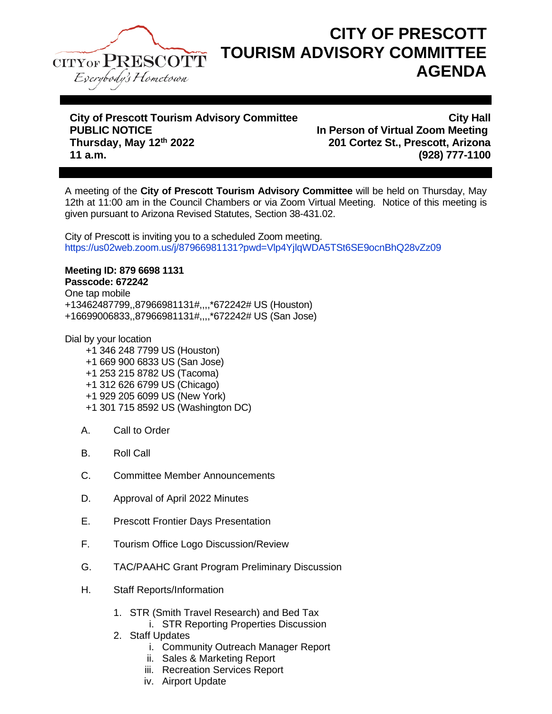

## **CITY OF PRESCOTT TOURISM ADVISORY COMMITTEE AGENDA**

## **City of Prescott Tourism Advisory Committee City of Prescott Tourism Advisory Committee City Hall**<br>In Person of Virtual Zoom Meeting **Thursday, May 12th 2022 201 Cortez St., Prescott, Arizona 11 a.m. (928) 777-1100**

**In Person of Virtual Zoom Meeting** 

A meeting of the **City of Prescott Tourism Advisory Committee** will be held on Thursday, May 12th at 11:00 am in the Council Chambers or via Zoom Virtual Meeting. Notice of this meeting is given pursuant to Arizona Revised Statutes, Section 38-431.02.

City of Prescott is inviting you to a scheduled Zoom meeting. https://us02web.zoom.us/j/87966981131?pwd=Vlp4YjlqWDA5TSt6SE9ocnBhQ28vZz09

## **Meeting ID: 879 6698 1131**

**Passcode: 672242** One tap mobile +13462487799,,87966981131#,,,,\*672242# US (Houston) +16699006833,,87966981131#,,,,\*672242# US (San Jose)

Dial by your location

- +1 346 248 7799 US (Houston)
- +1 669 900 6833 US (San Jose)
- +1 253 215 8782 US (Tacoma)
- +1 312 626 6799 US (Chicago)
- +1 929 205 6099 US (New York)
- +1 301 715 8592 US (Washington DC)
- A. Call to Order
- B. Roll Call
- C. Committee Member Announcements
- D. Approval of April 2022 Minutes
- E. Prescott Frontier Days Presentation
- F. Tourism Office Logo Discussion/Review
- G. TAC/PAAHC Grant Program Preliminary Discussion
- H. Staff Reports/Information
	- 1. STR (Smith Travel Research) and Bed Tax
		- i. STR Reporting Properties Discussion
	- 2. Staff Updates
		- i. Community Outreach Manager Report
		- ii. Sales & Marketing Report
		- iii. Recreation Services Report
		- iv. Airport Update